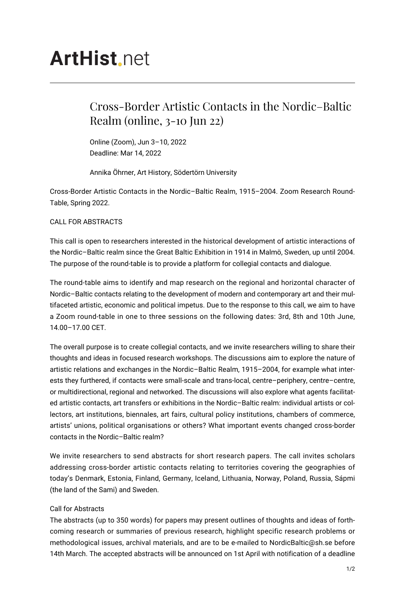# **ArtHist**, net

## Cross-Border Artistic Contacts in the Nordic–Baltic Realm (online, 3-10 Jun 22)

Online (Zoom), Jun 3–10, 2022 Deadline: Mar 14, 2022

Annika Öhrner, Art History, Södertörn University

Cross-Border Artistic Contacts in the Nordic–Baltic Realm, 1915–2004. Zoom Research Round-Table, Spring 2022.

CALL FOR ABSTRACTS

This call is open to researchers interested in the historical development of artistic interactions of the Nordic–Baltic realm since the Great Baltic Exhibition in 1914 in Malmö, Sweden, up until 2004. The purpose of the round-table is to provide a platform for collegial contacts and dialogue.

The round-table aims to identify and map research on the regional and horizontal character of Nordic–Baltic contacts relating to the development of modern and contemporary art and their multifaceted artistic, economic and political impetus. Due to the response to this call, we aim to have a Zoom round-table in one to three sessions on the following dates: 3rd, 8th and 10th June, 14.00–17.00 CET.

The overall purpose is to create collegial contacts, and we invite researchers willing to share their thoughts and ideas in focused research workshops. The discussions aim to explore the nature of artistic relations and exchanges in the Nordic–Baltic Realm, 1915–2004, for example what interests they furthered, if contacts were small-scale and trans-local, centre–periphery, centre–centre, or multidirectional, regional and networked. The discussions will also explore what agents facilitated artistic contacts, art transfers or exhibitions in the Nordic–Baltic realm: individual artists or collectors, art institutions, biennales, art fairs, cultural policy institutions, chambers of commerce, artists' unions, political organisations or others? What important events changed cross-border contacts in the Nordic–Baltic realm?

We invite researchers to send abstracts for short research papers. The call invites scholars addressing cross-border artistic contacts relating to territories covering the geographies of today's Denmark, Estonia, Finland, Germany, Iceland, Lithuania, Norway, Poland, Russia, Sápmi (the land of the Sami) and Sweden.

### Call for Abstracts

The abstracts (up to 350 words) for papers may present outlines of thoughts and ideas of forthcoming research or summaries of previous research, highlight specific research problems or methodological issues, archival materials, and are to be e-mailed to NordicBaltic@sh.se before 14th March. The accepted abstracts will be announced on 1st April with notification of a deadline